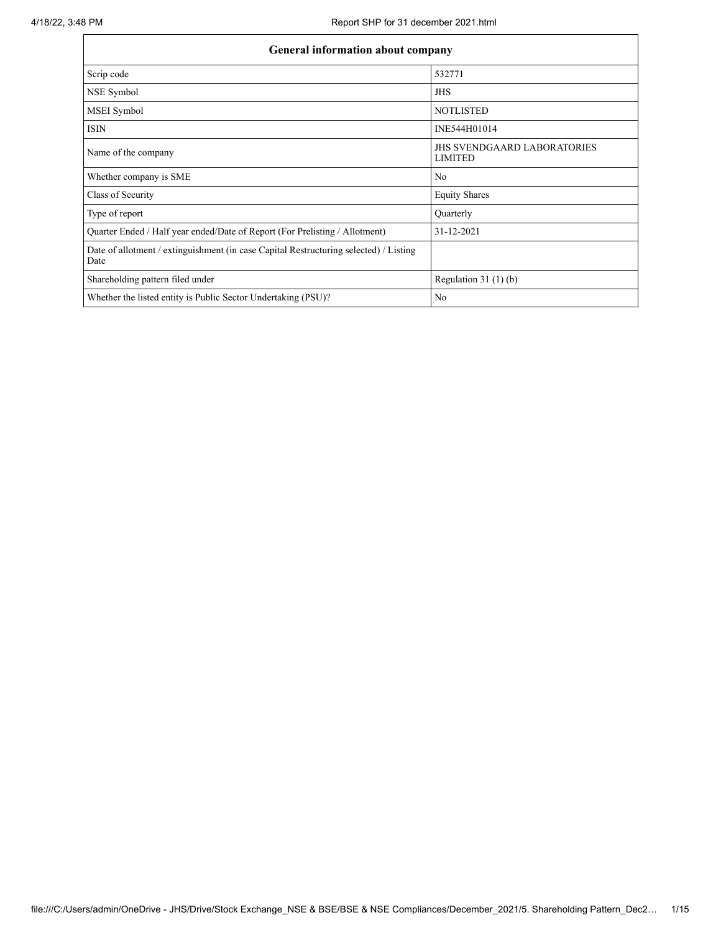| General information about company                                                             |                                                      |
|-----------------------------------------------------------------------------------------------|------------------------------------------------------|
| Scrip code                                                                                    | 532771                                               |
| NSE Symbol                                                                                    | <b>JHS</b>                                           |
| MSEI Symbol                                                                                   | <b>NOTLISTED</b>                                     |
| <b>ISIN</b>                                                                                   | INE544H01014                                         |
| Name of the company                                                                           | <b>JHS SVENDGAARD LABORATORIES</b><br><b>LIMITED</b> |
| Whether company is SME                                                                        | No                                                   |
| Class of Security                                                                             | <b>Equity Shares</b>                                 |
| Type of report                                                                                | Quarterly                                            |
| Quarter Ended / Half year ended/Date of Report (For Prelisting / Allotment)                   | 31-12-2021                                           |
| Date of allotment / extinguishment (in case Capital Restructuring selected) / Listing<br>Date |                                                      |
| Shareholding pattern filed under                                                              | Regulation $31(1)(b)$                                |
| Whether the listed entity is Public Sector Undertaking (PSU)?                                 | No                                                   |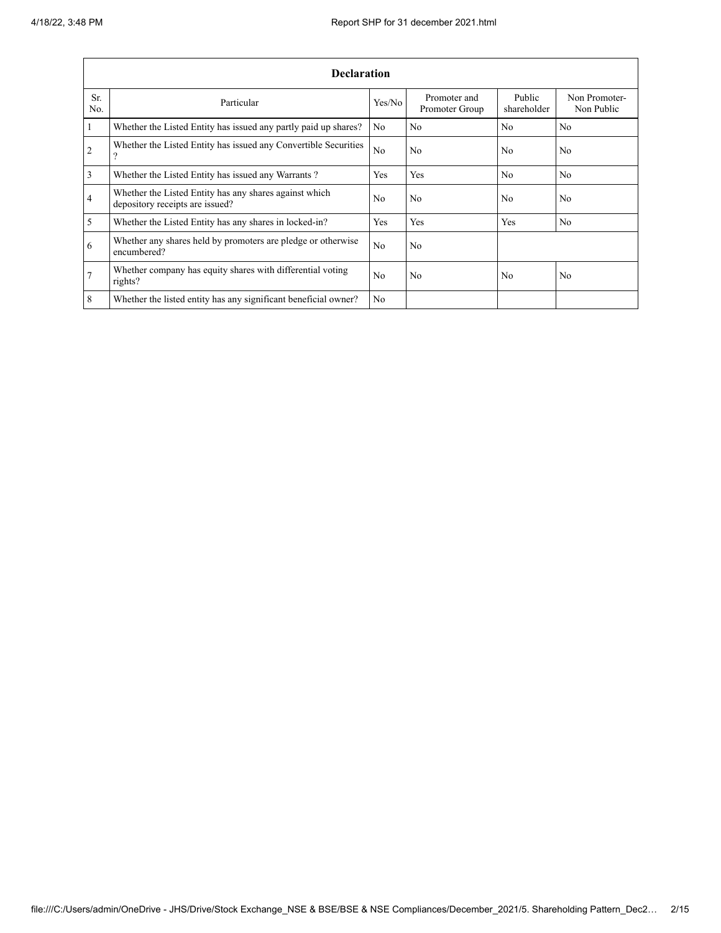|                | <b>Declaration</b>                                                                        |                |                                |                       |                             |
|----------------|-------------------------------------------------------------------------------------------|----------------|--------------------------------|-----------------------|-----------------------------|
| Sr.<br>No.     | Particular                                                                                | Yes/No         | Promoter and<br>Promoter Group | Public<br>shareholder | Non Promoter-<br>Non Public |
| $\mathbf{1}$   | Whether the Listed Entity has issued any partly paid up shares?                           | No             | No                             | No                    | N <sub>0</sub>              |
| $\overline{2}$ | Whether the Listed Entity has issued any Convertible Securities<br>$\Omega$               | No             | No                             | N <sub>0</sub>        | N <sub>0</sub>              |
| 3              | Whether the Listed Entity has issued any Warrants?                                        | Yes            | Yes                            | N <sub>0</sub>        | N <sub>0</sub>              |
| $\overline{4}$ | Whether the Listed Entity has any shares against which<br>depository receipts are issued? | N <sub>0</sub> | No                             | N <sub>0</sub>        | N <sub>0</sub>              |
| 5              | Whether the Listed Entity has any shares in locked-in?                                    | Yes            | <b>Yes</b>                     | Yes                   | N <sub>0</sub>              |
| 6              | Whether any shares held by promoters are pledge or otherwise<br>encumbered?               | N <sub>0</sub> | No                             |                       |                             |
| $\overline{7}$ | Whether company has equity shares with differential voting<br>rights?                     | N <sub>0</sub> | No                             | N <sub>0</sub>        | No                          |
| 8              | Whether the listed entity has any significant beneficial owner?                           | N <sub>0</sub> |                                |                       |                             |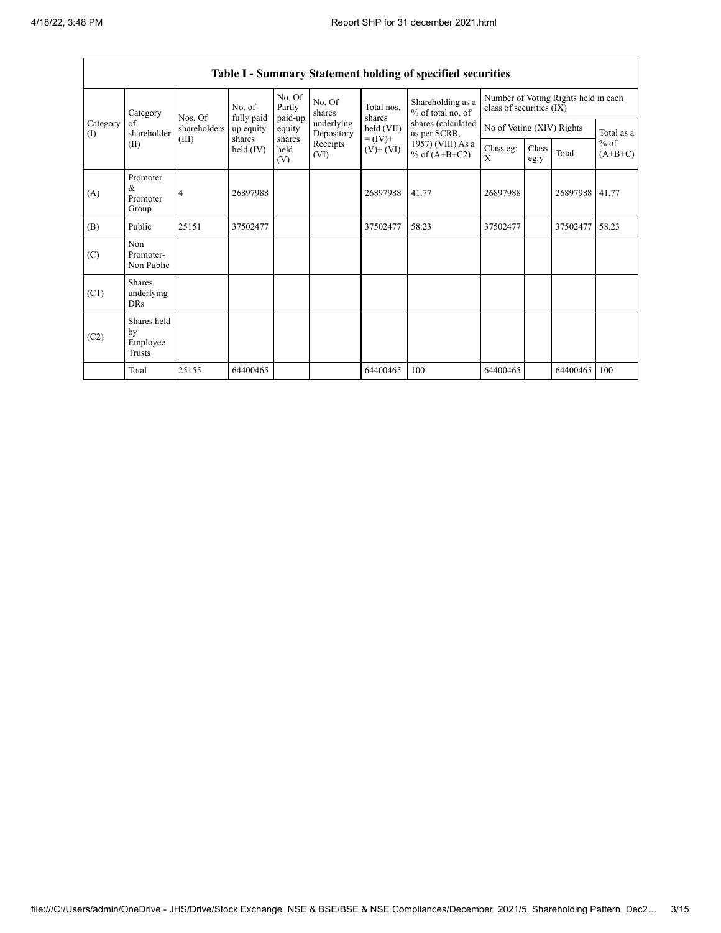|                 | Category                                  | Nos. Of        | No. of<br>fully paid | No. Of<br>Partly<br>paid-up | No. Of<br>shares         | Total nos.<br>shares         | Shareholding as a<br>% of total no. of | class of securities (IX)  |               | Number of Voting Rights held in each |            |
|-----------------|-------------------------------------------|----------------|----------------------|-----------------------------|--------------------------|------------------------------|----------------------------------------|---------------------------|---------------|--------------------------------------|------------|
| Category<br>(I) | of<br>shareholder                         | shareholders   | up equity            | equity                      | underlying<br>Depository | held (VII)                   | shares (calculated<br>as per SCRR,     | No of Voting (XIV) Rights |               |                                      | Total as a |
|                 | (II)                                      | (III)          | shares<br>held (IV)  | shares<br>held<br>(V)       | Receipts<br>(VI)         | $= (IV) +$<br>$(V)$ + $(VI)$ | 1957) (VIII) As a<br>% of $(A+B+C2)$   | Class eg:<br>X            | Class<br>eg:y | $%$ of<br>Total                      | $(A+B+C)$  |
| (A)             | Promoter<br>&<br>Promoter<br>Group        | $\overline{4}$ | 26897988             |                             |                          | 26897988                     | 41.77                                  | 26897988                  |               | 26897988                             | 41.77      |
| (B)             | Public                                    | 25151          | 37502477             |                             |                          | 37502477                     | 58.23                                  | 37502477                  |               | 37502477                             | 58.23      |
| (C)             | Non<br>Promoter-<br>Non Public            |                |                      |                             |                          |                              |                                        |                           |               |                                      |            |
| (C1)            | <b>Shares</b><br>underlying<br><b>DRs</b> |                |                      |                             |                          |                              |                                        |                           |               |                                      |            |
| (C2)            | Shares held<br>by<br>Employee<br>Trusts   |                |                      |                             |                          |                              |                                        |                           |               |                                      |            |
|                 | Total                                     | 25155          | 64400465             |                             |                          | 64400465                     | 100                                    | 64400465                  |               | 64400465                             | 100        |

## **Table I - Summary Statement holding of specified securities**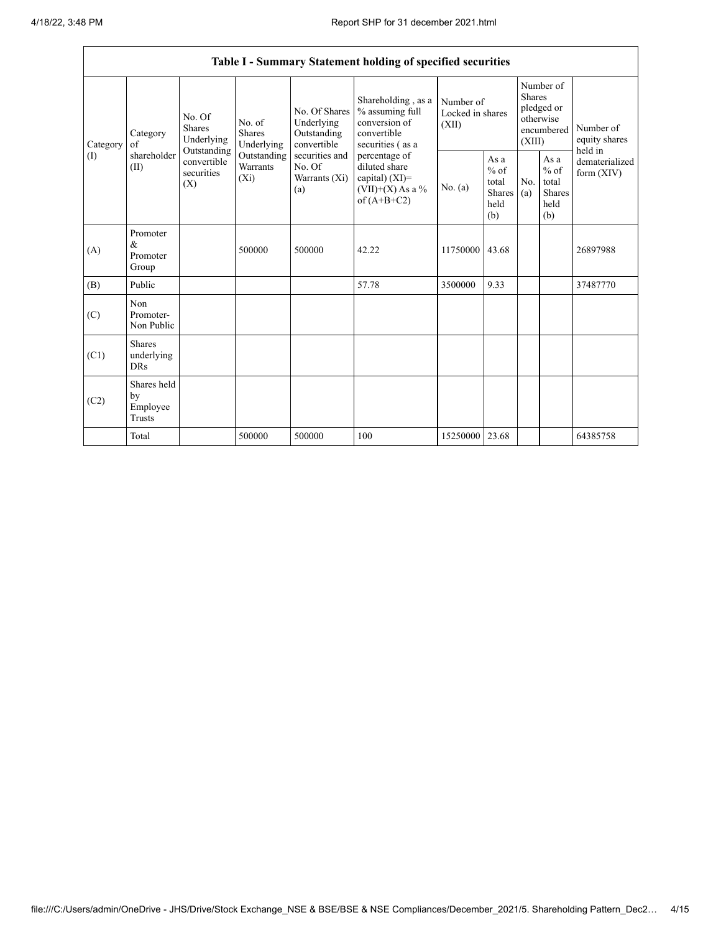Г

|          |                                           |                                                                                               |                                    |                                                           | Table I - Summary Statement holding of specified securities                                |                                        |                                                                               |            |                                                         |                                |
|----------|-------------------------------------------|-----------------------------------------------------------------------------------------------|------------------------------------|-----------------------------------------------------------|--------------------------------------------------------------------------------------------|----------------------------------------|-------------------------------------------------------------------------------|------------|---------------------------------------------------------|--------------------------------|
| Category | Category<br>of                            | No. Of<br>No. of<br><b>Shares</b><br><b>Shares</b><br>Underlying<br>Underlying<br>Outstanding |                                    | No. Of Shares<br>Underlying<br>Outstanding<br>convertible | Shareholding, as a<br>% assuming full<br>conversion of<br>convertible<br>securities (as a  | Number of<br>Locked in shares<br>(XII) | Number of<br><b>Shares</b><br>pledged or<br>otherwise<br>encumbered<br>(XIII) |            | Number of<br>equity shares<br>held in                   |                                |
| (I)      | shareholder<br>(II)                       | convertible<br>securities<br>(X)                                                              | Outstanding<br>Warrants<br>$(X_i)$ | securities and<br>No. Of<br>Warrants (Xi)<br>(a)          | percentage of<br>diluted share<br>capital) $(XI)$ =<br>$(VII)+(X)$ As a %<br>of $(A+B+C2)$ | No. (a)                                | As a<br>$\%$ of<br>total<br>Shares<br>held<br>(b)                             | No.<br>(a) | As a<br>$%$ of<br>total<br><b>Shares</b><br>held<br>(b) | dematerialized<br>form $(XIV)$ |
| (A)      | Promoter<br>$\&$<br>Promoter<br>Group     |                                                                                               | 500000                             | 500000                                                    | 42.22                                                                                      | 11750000                               | 43.68                                                                         |            |                                                         | 26897988                       |
| (B)      | Public                                    |                                                                                               |                                    |                                                           | 57.78                                                                                      | 3500000                                | 9.33                                                                          |            |                                                         | 37487770                       |
| (C)      | Non<br>Promoter-<br>Non Public            |                                                                                               |                                    |                                                           |                                                                                            |                                        |                                                                               |            |                                                         |                                |
| (C1)     | <b>Shares</b><br>underlying<br><b>DRs</b> |                                                                                               |                                    |                                                           |                                                                                            |                                        |                                                                               |            |                                                         |                                |
| (C2)     | Shares held<br>by<br>Employee<br>Trusts   |                                                                                               |                                    |                                                           |                                                                                            |                                        |                                                                               |            |                                                         |                                |
|          | Total                                     |                                                                                               | 500000                             | 500000                                                    | 100                                                                                        | 15250000                               | 23.68                                                                         |            |                                                         | 64385758                       |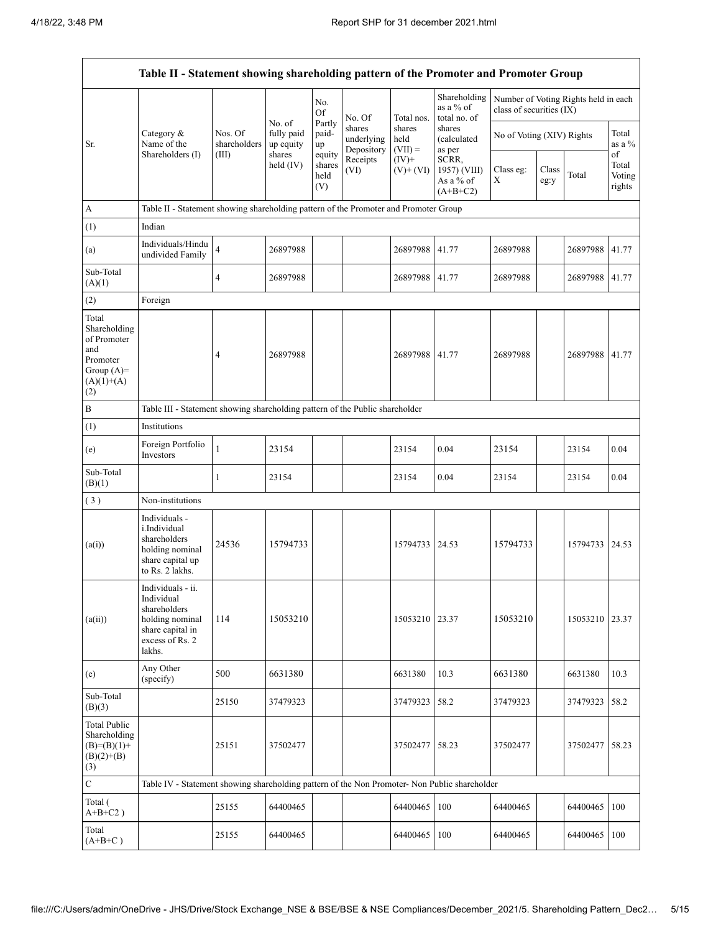|                                                                                                | Table II - Statement showing shareholding pattern of the Promoter and Promoter Group                                |                         |                                   |                                 |                                    |                             |                                                  |                                                                  |               |          |                                 |
|------------------------------------------------------------------------------------------------|---------------------------------------------------------------------------------------------------------------------|-------------------------|-----------------------------------|---------------------------------|------------------------------------|-----------------------------|--------------------------------------------------|------------------------------------------------------------------|---------------|----------|---------------------------------|
|                                                                                                |                                                                                                                     |                         |                                   | No.<br>Of                       | No. Of                             | Total nos.                  | Shareholding<br>as a % of<br>total no. of        | Number of Voting Rights held in each<br>class of securities (IX) |               |          |                                 |
| Sr.                                                                                            | Category &<br>Name of the                                                                                           | Nos. Of<br>shareholders | No. of<br>fully paid<br>up equity | Partly<br>paid-<br>up           | shares<br>underlying<br>Depository | shares<br>held<br>$(VII) =$ | shares<br>(calculated<br>as per                  | No of Voting (XIV) Rights                                        |               |          | Total<br>as a $\%$              |
|                                                                                                | Shareholders (I)                                                                                                    | (III)                   | shares<br>held (IV)               | equity<br>shares<br>held<br>(V) | Receipts<br>(VI)                   | $(IV)+$<br>$(V)$ + $(VI)$   | SCRR,<br>1957) (VIII)<br>As a % of<br>$(A+B+C2)$ | Class eg:<br>X                                                   | Class<br>eg:y | Total    | of<br>Total<br>Voting<br>rights |
| A                                                                                              | Table II - Statement showing shareholding pattern of the Promoter and Promoter Group                                |                         |                                   |                                 |                                    |                             |                                                  |                                                                  |               |          |                                 |
| (1)                                                                                            | Indian                                                                                                              |                         |                                   |                                 |                                    |                             |                                                  |                                                                  |               |          |                                 |
| (a)                                                                                            | Individuals/Hindu<br>undivided Family                                                                               | $\overline{4}$          | 26897988                          |                                 |                                    | 26897988                    | 41.77                                            | 26897988                                                         |               | 26897988 | 41.77                           |
| Sub-Total<br>(A)(1)                                                                            |                                                                                                                     | $\overline{4}$          | 26897988                          |                                 |                                    | 26897988                    | 41.77                                            | 26897988                                                         |               | 26897988 | 41.77                           |
| (2)                                                                                            | Foreign                                                                                                             |                         |                                   |                                 |                                    |                             |                                                  |                                                                  |               |          |                                 |
| Total<br>Shareholding<br>of Promoter<br>and<br>Promoter<br>Group $(A)=$<br>$(A)(1)+(A)$<br>(2) |                                                                                                                     | 4                       | 26897988                          |                                 |                                    | 26897988                    | 41.77                                            | 26897988                                                         |               | 26897988 | 41.77                           |
| $\, {\bf B}$                                                                                   | Table III - Statement showing shareholding pattern of the Public shareholder                                        |                         |                                   |                                 |                                    |                             |                                                  |                                                                  |               |          |                                 |
| (1)                                                                                            | Institutions                                                                                                        |                         |                                   |                                 |                                    |                             |                                                  |                                                                  |               |          |                                 |
| (e)                                                                                            | Foreign Portfolio<br>Investors                                                                                      | $\mathbf{1}$            | 23154                             |                                 |                                    | 23154                       | 0.04                                             | 23154                                                            |               | 23154    | 0.04                            |
| Sub-Total<br>(B)(1)                                                                            |                                                                                                                     | $\mathbf{1}$            | 23154                             |                                 |                                    | 23154                       | 0.04                                             | 23154                                                            |               | 23154    | 0.04                            |
| (3)                                                                                            | Non-institutions                                                                                                    |                         |                                   |                                 |                                    |                             |                                                  |                                                                  |               |          |                                 |
| (a(i))                                                                                         | Individuals -<br>i.Individual<br>shareholders<br>holding nominal<br>share capital up<br>to Rs. 2 lakhs.             | 24536                   | 15794733                          |                                 |                                    | 15794733                    | 24.53                                            | 15794733                                                         |               | 15794733 | 24.53                           |
| (a(ii))                                                                                        | Individuals - ii.<br>Individual<br>shareholders<br>holding nominal<br>share capital in<br>excess of Rs. 2<br>lakhs. | 114                     | 15053210                          |                                 |                                    | 15053210 23.37              |                                                  | 15053210                                                         |               | 15053210 | 23.37                           |
| (e)                                                                                            | Any Other<br>(specify)                                                                                              | 500                     | 6631380                           |                                 |                                    | 6631380                     | 10.3                                             | 6631380                                                          |               | 6631380  | 10.3                            |
| Sub-Total<br>(B)(3)                                                                            |                                                                                                                     | 25150                   | 37479323                          |                                 |                                    | 37479323                    | 58.2                                             | 37479323                                                         |               | 37479323 | 58.2                            |
| <b>Total Public</b><br>Shareholding<br>$(B)=(B)(1)+$<br>$(B)(2)+(B)$<br>(3)                    |                                                                                                                     | 25151                   | 37502477                          |                                 |                                    | 37502477                    | 58.23                                            | 37502477                                                         |               | 37502477 | 58.23                           |
| $\mathbf C$                                                                                    | Table IV - Statement showing shareholding pattern of the Non Promoter- Non Public shareholder                       |                         |                                   |                                 |                                    |                             |                                                  |                                                                  |               |          |                                 |
| Total (<br>$A+B+C2$ )                                                                          |                                                                                                                     | 25155                   | 64400465                          |                                 |                                    | 64400465                    | 100                                              | 64400465                                                         |               | 64400465 | 100                             |
| Total<br>$(A+B+C)$                                                                             |                                                                                                                     | 25155                   | 64400465                          |                                 |                                    | 64400465                    | 100                                              | 64400465                                                         |               | 64400465 | 100                             |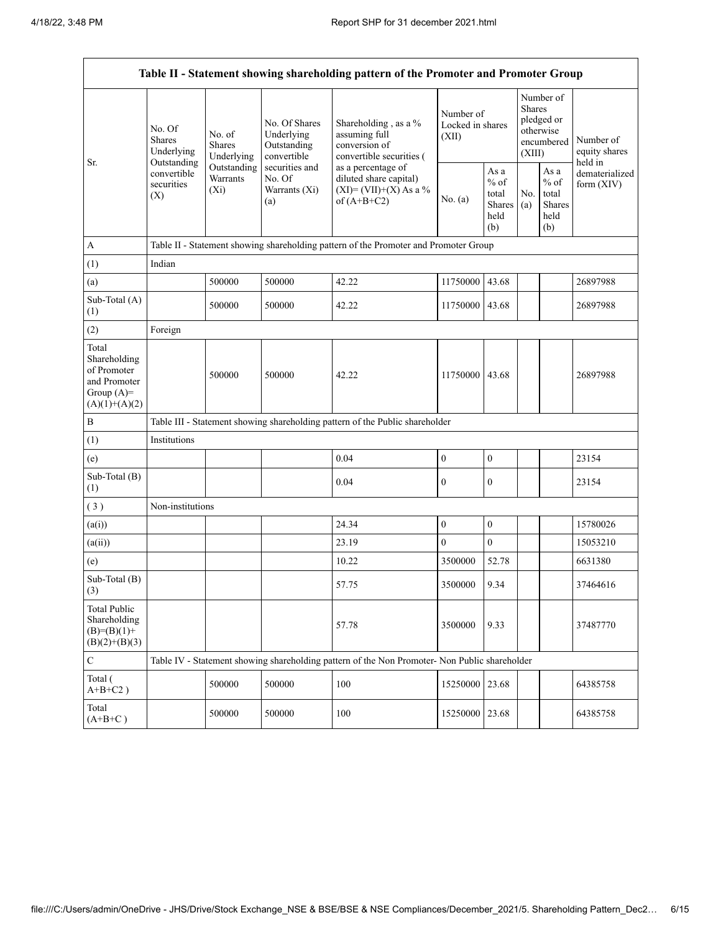|                                                                                         |                                                 |                                       |                                                           | Table II - Statement showing shareholding pattern of the Promoter and Promoter Group          |                                        |                                                  |                                                                               |                                                  |                                       |
|-----------------------------------------------------------------------------------------|-------------------------------------------------|---------------------------------------|-----------------------------------------------------------|-----------------------------------------------------------------------------------------------|----------------------------------------|--------------------------------------------------|-------------------------------------------------------------------------------|--------------------------------------------------|---------------------------------------|
| Sr.                                                                                     | No. Of<br>Shares<br>Underlying                  | No. of<br><b>Shares</b><br>Underlying | No. Of Shares<br>Underlying<br>Outstanding<br>convertible | Shareholding, as a %<br>assuming full<br>conversion of<br>convertible securities (            | Number of<br>Locked in shares<br>(XII) |                                                  | Number of<br><b>Shares</b><br>pledged or<br>otherwise<br>encumbered<br>(XIII) |                                                  | Number of<br>equity shares<br>held in |
|                                                                                         | Outstanding<br>convertible<br>securities<br>(X) | Outstanding<br>Warrants<br>$(X_i)$    | securities and<br>No. Of<br>Warrants (Xi)<br>(a)          | as a percentage of<br>diluted share capital)<br>$(XI)=(VII)+(X) As a %$<br>of $(A+B+C2)$      | No. (a)                                | As a<br>$%$ of<br>total<br>Shares<br>held<br>(b) | No.<br>(a)                                                                    | As a<br>$%$ of<br>total<br>Shares<br>held<br>(b) | dematerialized<br>form (XIV)          |
| $\boldsymbol{A}$                                                                        |                                                 |                                       |                                                           | Table II - Statement showing shareholding pattern of the Promoter and Promoter Group          |                                        |                                                  |                                                                               |                                                  |                                       |
| (1)                                                                                     | Indian                                          |                                       |                                                           |                                                                                               |                                        |                                                  |                                                                               |                                                  |                                       |
| (a)                                                                                     |                                                 | 500000                                | 500000                                                    | 42.22                                                                                         | 11750000 43.68                         |                                                  |                                                                               |                                                  | 26897988                              |
| Sub-Total (A)<br>(1)                                                                    |                                                 | 500000                                | 500000                                                    | 42.22                                                                                         | 11750000 43.68                         |                                                  |                                                                               |                                                  | 26897988                              |
| (2)                                                                                     | Foreign                                         |                                       |                                                           |                                                                                               |                                        |                                                  |                                                                               |                                                  |                                       |
| Total<br>Shareholding<br>of Promoter<br>and Promoter<br>Group $(A)=$<br>$(A)(1)+(A)(2)$ |                                                 | 500000                                | 500000                                                    | 42.22                                                                                         | 11750000                               | 43.68                                            |                                                                               |                                                  | 26897988                              |
| $\, {\bf B}$                                                                            |                                                 |                                       |                                                           | Table III - Statement showing shareholding pattern of the Public shareholder                  |                                        |                                                  |                                                                               |                                                  |                                       |
| (1)                                                                                     | Institutions                                    |                                       |                                                           |                                                                                               |                                        |                                                  |                                                                               |                                                  |                                       |
| (e)                                                                                     |                                                 |                                       |                                                           | 0.04                                                                                          | $\boldsymbol{0}$                       | $\boldsymbol{0}$                                 |                                                                               |                                                  | 23154                                 |
| Sub-Total (B)<br>(1)                                                                    |                                                 |                                       |                                                           | 0.04                                                                                          | $\boldsymbol{0}$                       | $\mathbf{0}$                                     |                                                                               |                                                  | 23154                                 |
| (3)                                                                                     | Non-institutions                                |                                       |                                                           |                                                                                               |                                        |                                                  |                                                                               |                                                  |                                       |
| (a(i))                                                                                  |                                                 |                                       |                                                           | 24.34                                                                                         | $\boldsymbol{0}$                       | $\boldsymbol{0}$                                 |                                                                               |                                                  | 15780026                              |
| (a(ii))                                                                                 |                                                 |                                       |                                                           | 23.19                                                                                         | $\boldsymbol{0}$                       | $\overline{0}$                                   |                                                                               |                                                  | 15053210                              |
| (e)                                                                                     |                                                 |                                       |                                                           | 10.22                                                                                         | 3500000                                | 52.78                                            |                                                                               |                                                  | 6631380                               |
| Sub-Total (B)<br>(3)                                                                    |                                                 |                                       |                                                           | 57.75                                                                                         | 3500000                                | 9.34                                             |                                                                               |                                                  | 37464616                              |
| <b>Total Public</b><br>Shareholding<br>$(B)= (B)(1) +$<br>$(B)(2)+(B)(3)$               |                                                 |                                       |                                                           | 57.78                                                                                         | 3500000                                | 9.33                                             |                                                                               |                                                  | 37487770                              |
| $\mathbf C$                                                                             |                                                 |                                       |                                                           | Table IV - Statement showing shareholding pattern of the Non Promoter- Non Public shareholder |                                        |                                                  |                                                                               |                                                  |                                       |
| Total (<br>$A+B+C2$ )                                                                   |                                                 | 500000                                | 500000                                                    | 100                                                                                           | 15250000                               | 23.68                                            |                                                                               |                                                  | 64385758                              |
| Total<br>$(A+B+C)$                                                                      |                                                 | 500000                                | 500000                                                    | 100                                                                                           | 15250000 23.68                         |                                                  |                                                                               |                                                  | 64385758                              |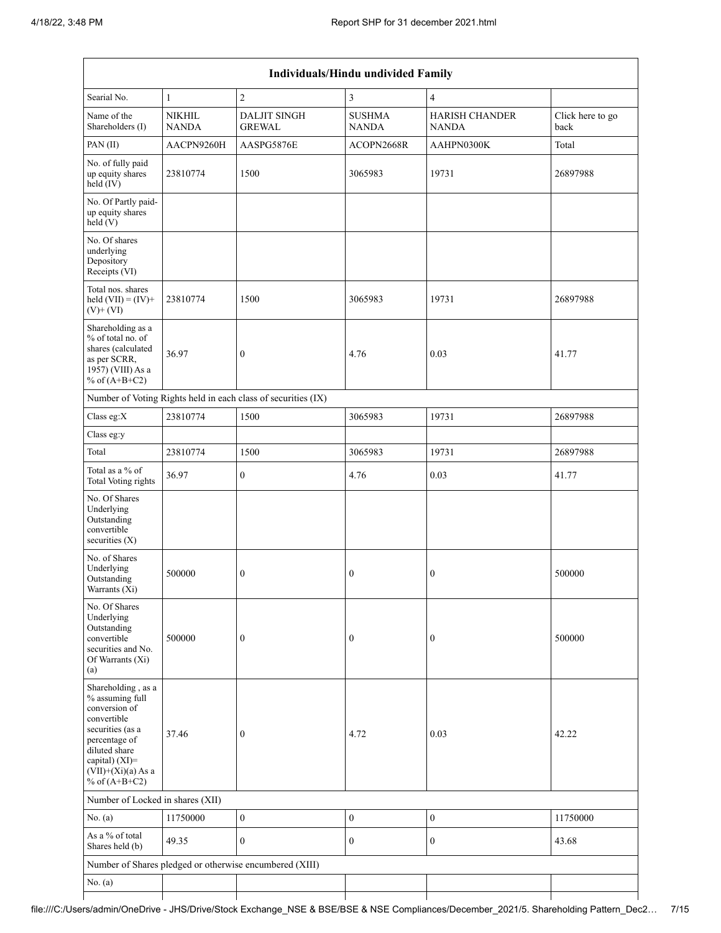|                                                                                                                                                                                          | Individuals/Hindu undivided Family |                                                               |                               |                                       |                          |  |  |  |  |  |  |
|------------------------------------------------------------------------------------------------------------------------------------------------------------------------------------------|------------------------------------|---------------------------------------------------------------|-------------------------------|---------------------------------------|--------------------------|--|--|--|--|--|--|
| Searial No.                                                                                                                                                                              | $\mathbf{1}$                       | $\overline{2}$                                                | 3                             | $\overline{4}$                        |                          |  |  |  |  |  |  |
| Name of the<br>Shareholders (I)                                                                                                                                                          | <b>NIKHIL</b><br><b>NANDA</b>      | <b>DALJIT SINGH</b><br><b>GREWAL</b>                          | <b>SUSHMA</b><br><b>NANDA</b> | <b>HARISH CHANDER</b><br><b>NANDA</b> | Click here to go<br>back |  |  |  |  |  |  |
| PAN (II)                                                                                                                                                                                 | AACPN9260H                         | AASPG5876E                                                    | ACOPN2668R                    | AAHPN0300K                            | Total                    |  |  |  |  |  |  |
| No. of fully paid<br>up equity shares<br>held (IV)                                                                                                                                       | 23810774                           | 1500                                                          | 3065983                       | 19731                                 | 26897988                 |  |  |  |  |  |  |
| No. Of Partly paid-<br>up equity shares<br>held(V)                                                                                                                                       |                                    |                                                               |                               |                                       |                          |  |  |  |  |  |  |
| No. Of shares<br>underlying<br>Depository<br>Receipts (VI)                                                                                                                               |                                    |                                                               |                               |                                       |                          |  |  |  |  |  |  |
| Total nos. shares<br>held $(VII) = (IV) +$<br>$(V)$ + $(VI)$                                                                                                                             | 23810774                           | 1500                                                          | 3065983                       | 19731                                 | 26897988                 |  |  |  |  |  |  |
| Shareholding as a<br>% of total no. of<br>shares (calculated<br>as per SCRR,<br>1957) (VIII) As a<br>% of $(A+B+C2)$                                                                     | 36.97                              | $\boldsymbol{0}$                                              | 4.76                          | 0.03                                  | 41.77                    |  |  |  |  |  |  |
|                                                                                                                                                                                          |                                    | Number of Voting Rights held in each class of securities (IX) |                               |                                       |                          |  |  |  |  |  |  |
| Class eg:X                                                                                                                                                                               | 23810774                           | 1500                                                          | 3065983                       | 19731                                 | 26897988                 |  |  |  |  |  |  |
| Class eg:y                                                                                                                                                                               |                                    |                                                               |                               |                                       |                          |  |  |  |  |  |  |
| Total                                                                                                                                                                                    | 23810774                           | 1500                                                          | 3065983                       | 19731                                 | 26897988                 |  |  |  |  |  |  |
| Total as a % of<br><b>Total Voting rights</b>                                                                                                                                            | 36.97                              | $\boldsymbol{0}$                                              | 4.76                          | 0.03                                  | 41.77                    |  |  |  |  |  |  |
| No. Of Shares<br>Underlying<br>Outstanding<br>convertible<br>securities $(X)$                                                                                                            |                                    |                                                               |                               |                                       |                          |  |  |  |  |  |  |
| No. of Shares<br>Underlying<br>Outstanding<br>Warrants (Xi)                                                                                                                              | 500000                             | $\boldsymbol{0}$                                              | 0                             | $\boldsymbol{0}$                      | 500000                   |  |  |  |  |  |  |
| No. Of Shares<br>Underlying<br>Outstanding<br>convertible<br>securities and No.<br>Of Warrants (Xi)<br>(a)                                                                               | 500000                             | $\mathbf{0}$                                                  | $\boldsymbol{0}$              | $\boldsymbol{0}$                      | 500000                   |  |  |  |  |  |  |
| Shareholding, as a<br>% assuming full<br>conversion of<br>convertible<br>securities (as a<br>percentage of<br>diluted share<br>capital) (XI)=<br>$(VII)+(Xi)(a)$ As a<br>% of $(A+B+C2)$ | 37.46                              | $\boldsymbol{0}$                                              | 4.72                          | 0.03                                  | 42.22                    |  |  |  |  |  |  |
| Number of Locked in shares (XII)                                                                                                                                                         |                                    |                                                               |                               |                                       |                          |  |  |  |  |  |  |
| No. (a)                                                                                                                                                                                  | 11750000                           | $\boldsymbol{0}$                                              | $\boldsymbol{0}$              | $\boldsymbol{0}$                      | 11750000                 |  |  |  |  |  |  |
| As a % of total<br>Shares held (b)                                                                                                                                                       | 49.35                              | $\mathbf{0}$                                                  | $\boldsymbol{0}$              | $\boldsymbol{0}$                      | 43.68                    |  |  |  |  |  |  |
|                                                                                                                                                                                          |                                    | Number of Shares pledged or otherwise encumbered (XIII)       |                               |                                       |                          |  |  |  |  |  |  |
| No. (a)                                                                                                                                                                                  |                                    |                                                               |                               |                                       |                          |  |  |  |  |  |  |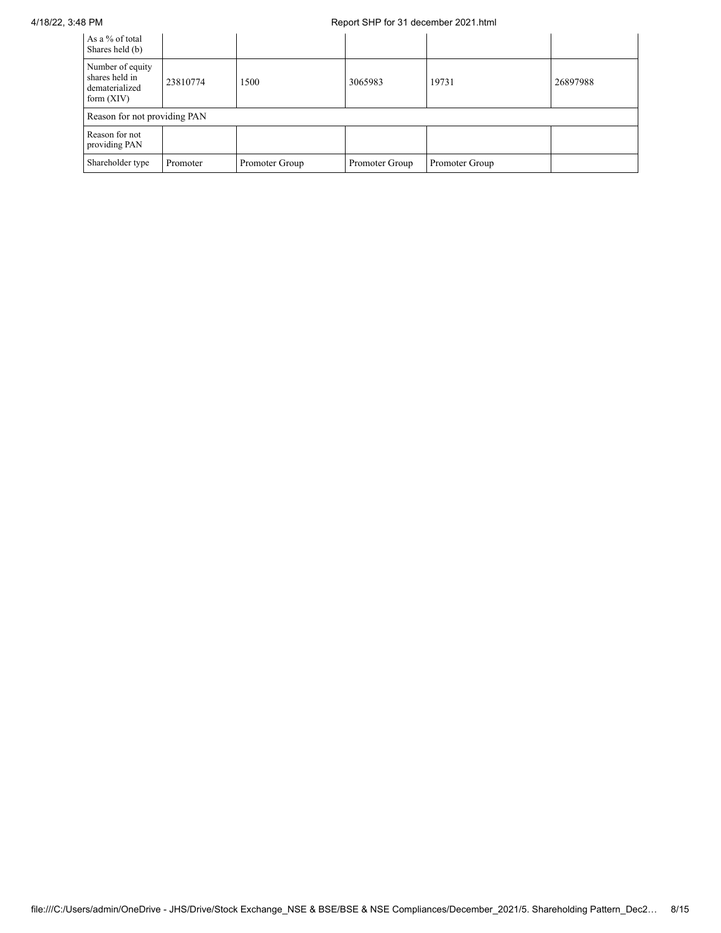## 4/18/22, 3:48 PM Report SHP for 31 december 2021.html

| As a % of total<br>Shares held (b)                                   |          |                |                |                |          |
|----------------------------------------------------------------------|----------|----------------|----------------|----------------|----------|
| Number of equity<br>shares held in<br>dematerialized<br>form $(XIV)$ | 23810774 | 1500           | 3065983        | 19731          | 26897988 |
| Reason for not providing PAN                                         |          |                |                |                |          |
| Reason for not<br>providing PAN                                      |          |                |                |                |          |
| Shareholder type                                                     | Promoter | Promoter Group | Promoter Group | Promoter Group |          |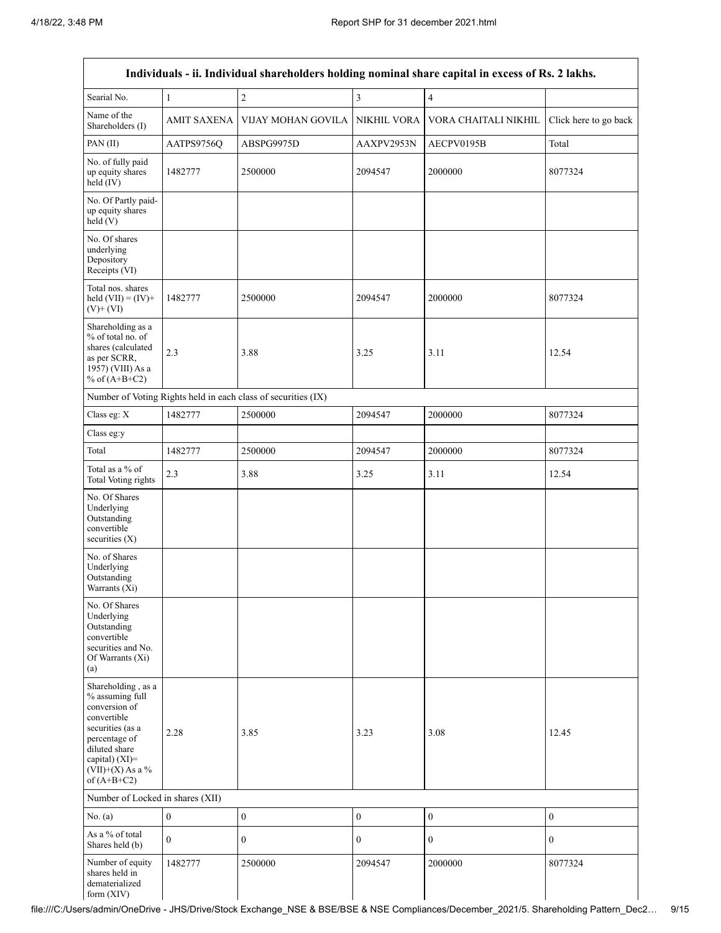|                                                                                                                                                                                      |                    |                                                               |                  | Individuals - ii. Individual shareholders holding nominal share capital in excess of Rs. 2 lakhs. |                       |
|--------------------------------------------------------------------------------------------------------------------------------------------------------------------------------------|--------------------|---------------------------------------------------------------|------------------|---------------------------------------------------------------------------------------------------|-----------------------|
| Searial No.                                                                                                                                                                          | $\mathbf{1}$       | $\sqrt{2}$                                                    | $\mathfrak{Z}$   | 4                                                                                                 |                       |
| Name of the<br>Shareholders (I)                                                                                                                                                      | <b>AMIT SAXENA</b> | VIJAY MOHAN GOVILA                                            | NIKHIL VORA      | VORA CHAITALI NIKHIL                                                                              | Click here to go back |
| PAN (II)                                                                                                                                                                             | AATPS9756Q         | ABSPG9975D                                                    | AAXPV2953N       | AECPV0195B                                                                                        | Total                 |
| No. of fully paid<br>up equity shares<br>held (IV)                                                                                                                                   | 1482777            | 2500000                                                       | 2094547          | 2000000                                                                                           | 8077324               |
| No. Of Partly paid-<br>up equity shares<br>held (V)                                                                                                                                  |                    |                                                               |                  |                                                                                                   |                       |
| No. Of shares<br>underlying<br>Depository<br>Receipts (VI)                                                                                                                           |                    |                                                               |                  |                                                                                                   |                       |
| Total nos. shares<br>held $(VII) = (IV) +$<br>$(V)$ + $(VI)$                                                                                                                         | 1482777            | 2500000                                                       | 2094547          | 2000000                                                                                           | 8077324               |
| Shareholding as a<br>% of total no. of<br>shares (calculated<br>as per SCRR,<br>1957) (VIII) As a<br>% of $(A+B+C2)$                                                                 | 2.3                | 3.88                                                          | 3.25             | 3.11                                                                                              | 12.54                 |
|                                                                                                                                                                                      |                    | Number of Voting Rights held in each class of securities (IX) |                  |                                                                                                   |                       |
| Class eg: X                                                                                                                                                                          | 1482777            | 2500000                                                       | 2094547          | 2000000                                                                                           | 8077324               |
| Class eg:y                                                                                                                                                                           |                    |                                                               |                  |                                                                                                   |                       |
| Total                                                                                                                                                                                | 1482777            | 2500000                                                       | 2094547          | 2000000                                                                                           | 8077324               |
| Total as a % of<br><b>Total Voting rights</b>                                                                                                                                        | 2.3                | 3.88                                                          | 3.25             | 3.11                                                                                              | 12.54                 |
| No. Of Shares<br>Underlying<br>Outstanding<br>convertible<br>securities (X)                                                                                                          |                    |                                                               |                  |                                                                                                   |                       |
| No. of Shares<br>Underlying<br>Outstanding<br>Warrants (Xi)                                                                                                                          |                    |                                                               |                  |                                                                                                   |                       |
| No. Of Shares<br>Underlying<br>Outstanding<br>convertible<br>securities and No.<br>Of Warrants (Xi)<br>(a)                                                                           |                    |                                                               |                  |                                                                                                   |                       |
| Shareholding, as a<br>% assuming full<br>conversion of<br>convertible<br>securities (as a<br>percentage of<br>diluted share<br>capital) (XI)=<br>$(VII)+(X)$ As a %<br>of $(A+B+C2)$ | 2.28               | 3.85                                                          | 3.23             | 3.08                                                                                              | 12.45                 |
| Number of Locked in shares (XII)                                                                                                                                                     |                    |                                                               |                  |                                                                                                   |                       |
| No. (a)                                                                                                                                                                              | $\boldsymbol{0}$   | $\boldsymbol{0}$                                              | $\boldsymbol{0}$ | $\boldsymbol{0}$                                                                                  | $\mathbf{0}$          |
| As a % of total<br>Shares held (b)                                                                                                                                                   | $\mathbf{0}$       | $\overline{0}$                                                | $\mathbf{0}$     | $\boldsymbol{0}$                                                                                  | $\mathbf{0}$          |
| Number of equity<br>shares held in<br>dematerialized<br>form (XIV)                                                                                                                   | 1482777            | 2500000                                                       | 2094547          | 2000000                                                                                           | 8077324               |

file:///C:/Users/admin/OneDrive - JHS/Drive/Stock Exchange\_NSE & BSE/BSE & NSE Compliances/December\_2021/5. Shareholding Pattern\_Dec2… 9/15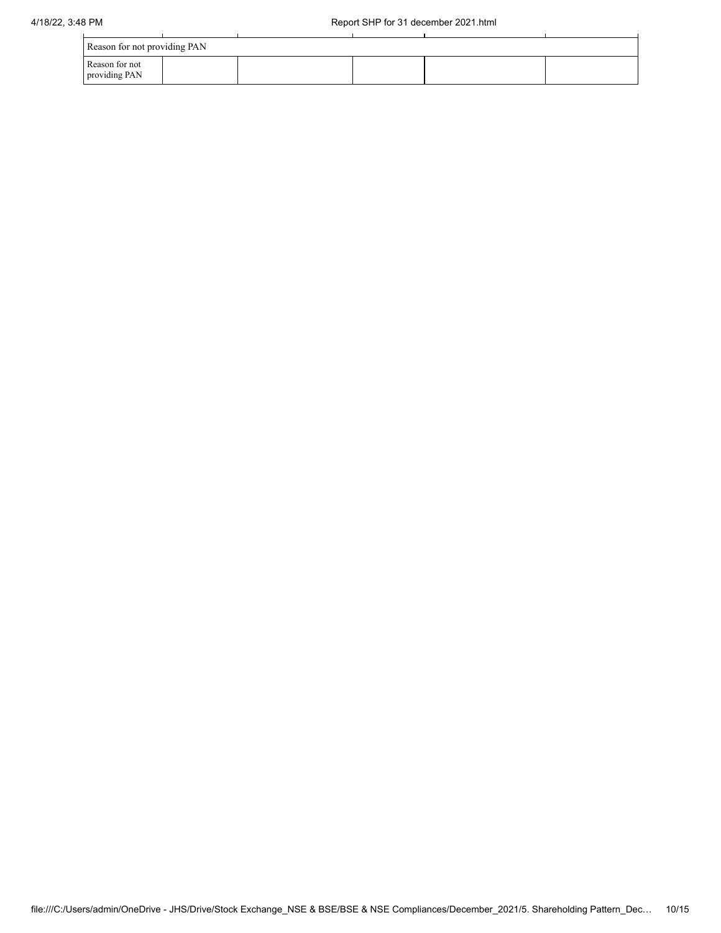| Reason for not providing PAN    |  |  |  |
|---------------------------------|--|--|--|
| Reason for not<br>providing PAN |  |  |  |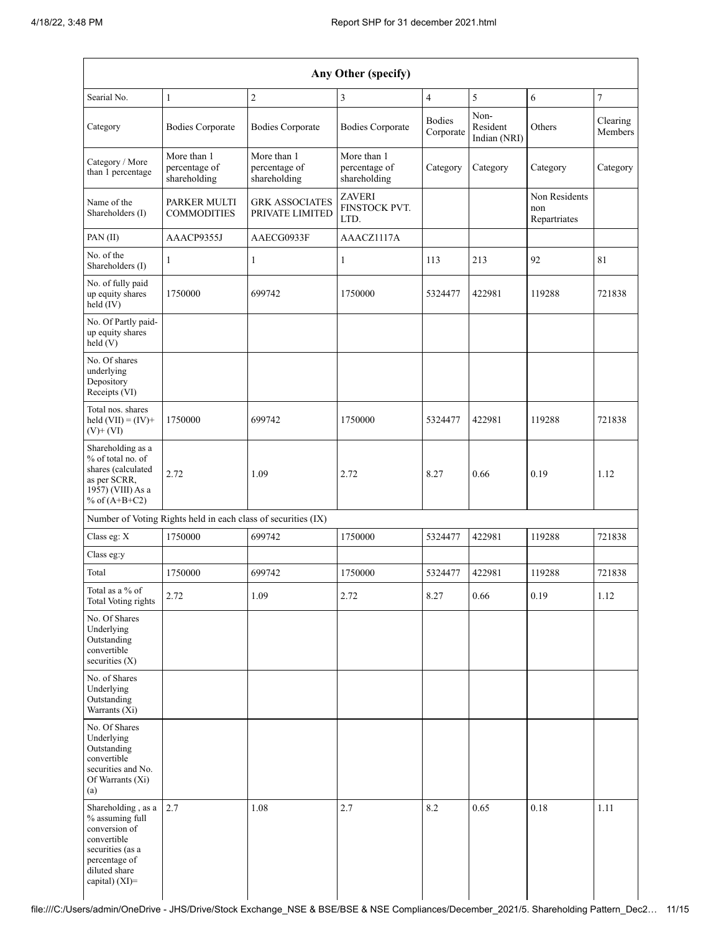|                                                                                                                                                  | Any Other (specify)                                           |                                              |                                              |                            |                                  |                                      |                     |  |  |  |  |  |  |
|--------------------------------------------------------------------------------------------------------------------------------------------------|---------------------------------------------------------------|----------------------------------------------|----------------------------------------------|----------------------------|----------------------------------|--------------------------------------|---------------------|--|--|--|--|--|--|
| Searial No.                                                                                                                                      | 1                                                             | $\overline{c}$                               | 3                                            | $\overline{4}$             | 5                                | 6                                    | $\sqrt{ }$          |  |  |  |  |  |  |
| Category                                                                                                                                         | <b>Bodies Corporate</b>                                       | <b>Bodies Corporate</b>                      | <b>Bodies Corporate</b>                      | <b>Bodies</b><br>Corporate | Non-<br>Resident<br>Indian (NRI) | Others                               | Clearing<br>Members |  |  |  |  |  |  |
| Category / More<br>than 1 percentage                                                                                                             | More than 1<br>percentage of<br>shareholding                  | More than 1<br>percentage of<br>shareholding | More than 1<br>percentage of<br>shareholding | Category                   | Category                         | Category                             | Category            |  |  |  |  |  |  |
| Name of the<br>Shareholders (I)                                                                                                                  | PARKER MULTI<br><b>COMMODITIES</b>                            | <b>GRK ASSOCIATES</b><br>PRIVATE LIMITED     | ZAVERI<br><b>FINSTOCK PVT.</b><br>LTD.       |                            |                                  | Non Residents<br>non<br>Repartriates |                     |  |  |  |  |  |  |
| PAN(II)                                                                                                                                          | AAACP9355J                                                    | AAECG0933F                                   | AAACZ1117A                                   |                            |                                  |                                      |                     |  |  |  |  |  |  |
| No. of the<br>Shareholders (I)                                                                                                                   | 1                                                             | 1                                            | 1                                            | 113                        | 213                              | 92                                   | 81                  |  |  |  |  |  |  |
| No. of fully paid<br>up equity shares<br>held $(IV)$                                                                                             | 1750000                                                       | 699742                                       | 1750000                                      | 5324477                    | 422981                           | 119288                               | 721838              |  |  |  |  |  |  |
| No. Of Partly paid-<br>up equity shares<br>held(V)                                                                                               |                                                               |                                              |                                              |                            |                                  |                                      |                     |  |  |  |  |  |  |
| No. Of shares<br>underlying<br>Depository<br>Receipts (VI)                                                                                       |                                                               |                                              |                                              |                            |                                  |                                      |                     |  |  |  |  |  |  |
| Total nos. shares<br>held $(VII) = (IV) +$<br>$(V)$ + $(VI)$                                                                                     | 1750000                                                       | 699742                                       | 1750000                                      | 5324477                    | 422981                           | 119288                               | 721838              |  |  |  |  |  |  |
| Shareholding as a<br>% of total no. of<br>shares (calculated<br>as per SCRR,<br>1957) (VIII) As a<br>% of $(A+B+C2)$                             | 2.72                                                          | 1.09                                         | 2.72                                         | 8.27                       | 0.66                             | 0.19                                 | 1.12                |  |  |  |  |  |  |
|                                                                                                                                                  | Number of Voting Rights held in each class of securities (IX) |                                              |                                              |                            |                                  |                                      |                     |  |  |  |  |  |  |
| Class eg: X                                                                                                                                      | 1750000                                                       | 699742                                       | 1750000                                      | 5324477                    | 422981                           | 119288                               | 721838              |  |  |  |  |  |  |
| Class eg:y                                                                                                                                       |                                                               |                                              |                                              |                            |                                  |                                      |                     |  |  |  |  |  |  |
| Total                                                                                                                                            | 1750000                                                       | 699742                                       | 1750000                                      | 5324477                    | 422981                           | 119288                               | 721838              |  |  |  |  |  |  |
| Total as a % of<br><b>Total Voting rights</b>                                                                                                    | 2.72                                                          | 1.09                                         | 2.72                                         | 8.27                       | 0.66                             | 0.19                                 | 1.12                |  |  |  |  |  |  |
| No. Of Shares<br>Underlying<br>Outstanding<br>convertible<br>securities $(X)$                                                                    |                                                               |                                              |                                              |                            |                                  |                                      |                     |  |  |  |  |  |  |
| No. of Shares<br>Underlying<br>Outstanding<br>Warrants (Xi)                                                                                      |                                                               |                                              |                                              |                            |                                  |                                      |                     |  |  |  |  |  |  |
| No. Of Shares<br>Underlying<br>Outstanding<br>convertible<br>securities and No.<br>Of Warrants (Xi)<br>(a)                                       |                                                               |                                              |                                              |                            |                                  |                                      |                     |  |  |  |  |  |  |
| Shareholding, as a<br>% assuming full<br>conversion of<br>convertible<br>securities (as a<br>percentage of<br>diluted share<br>capital) $(XI)$ = | 2.7                                                           | 1.08                                         | 2.7                                          | 8.2                        | 0.65                             | $0.18\,$                             | 1.11                |  |  |  |  |  |  |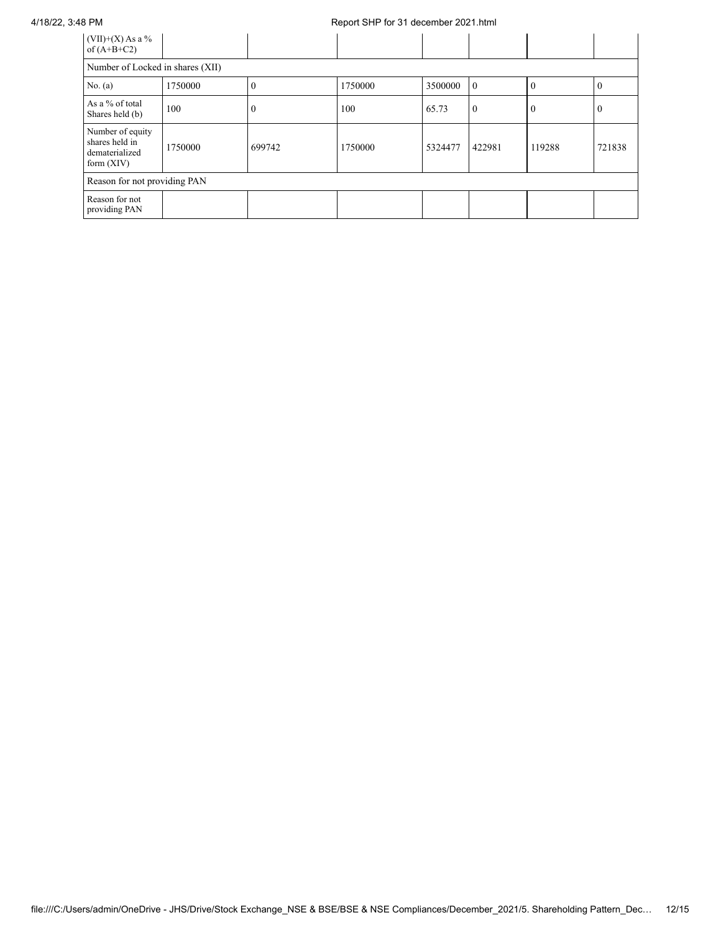## 4/18/22, 3:48 PM Report SHP for 31 december 2021.html

| $(VII)+(X)$ As a %<br>of $(A+B+C2)$                                  |         |        |         |         |                |              |          |
|----------------------------------------------------------------------|---------|--------|---------|---------|----------------|--------------|----------|
| Number of Locked in shares (XII)                                     |         |        |         |         |                |              |          |
| No. (a)                                                              | 1750000 | v      | 1750000 | 3500000 | $\overline{0}$ | $\Omega$     | $\Omega$ |
| As a % of total<br>Shares held (b)                                   | 100     | U      | 100     | 65.73   | $\overline{0}$ | $\mathbf{0}$ | $\Omega$ |
| Number of equity<br>shares held in<br>dematerialized<br>form $(XIV)$ | 1750000 | 699742 | 1750000 | 5324477 | 422981         | 119288       | 721838   |
| Reason for not providing PAN                                         |         |        |         |         |                |              |          |
| Reason for not<br>providing PAN                                      |         |        |         |         |                |              |          |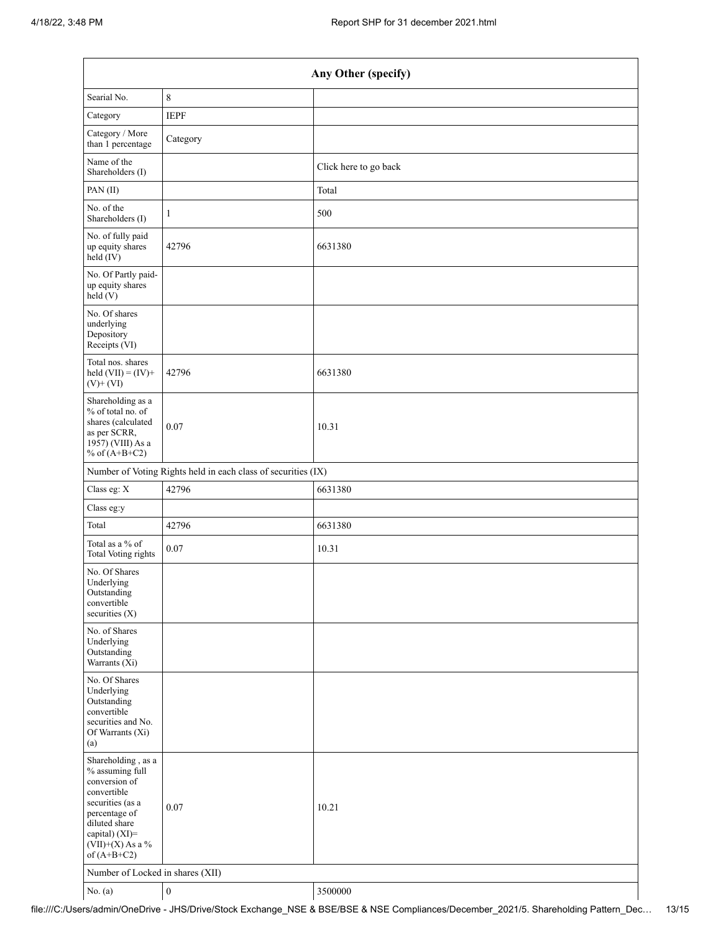| Any Other (specify)                                                                                                                                                                  |                  |                       |  |
|--------------------------------------------------------------------------------------------------------------------------------------------------------------------------------------|------------------|-----------------------|--|
| Searial No.                                                                                                                                                                          | $\,$ $\,$        |                       |  |
| Category                                                                                                                                                                             | <b>IEPF</b>      |                       |  |
| Category / More<br>than 1 percentage                                                                                                                                                 | Category         |                       |  |
| Name of the<br>Shareholders (I)                                                                                                                                                      |                  | Click here to go back |  |
| PAN(II)                                                                                                                                                                              |                  | Total                 |  |
| No. of the<br>Shareholders (I)                                                                                                                                                       | $\mathbf{1}$     | 500                   |  |
| No. of fully paid<br>up equity shares<br>held (IV)                                                                                                                                   | 42796            | 6631380               |  |
| No. Of Partly paid-<br>up equity shares<br>held(V)                                                                                                                                   |                  |                       |  |
| No. Of shares<br>underlying<br>Depository<br>Receipts (VI)                                                                                                                           |                  |                       |  |
| Total nos. shares<br>held $(VII) = (IV) +$<br>$(V)$ + $(VI)$                                                                                                                         | 42796            | 6631380               |  |
| Shareholding as a<br>% of total no. of<br>shares (calculated<br>as per SCRR,<br>1957) (VIII) As a<br>% of $(A+B+C2)$                                                                 | 0.07             | 10.31                 |  |
| Number of Voting Rights held in each class of securities (IX)                                                                                                                        |                  |                       |  |
| Class eg: X                                                                                                                                                                          | 42796            | 6631380               |  |
| Class eg:y                                                                                                                                                                           |                  |                       |  |
| Total                                                                                                                                                                                | 42796            | 6631380               |  |
| Total as a % of<br>Total Voting rights                                                                                                                                               | $0.07\,$         | 10.31                 |  |
| No. Of Shares<br>Underlying<br>Outstanding<br>convertible<br>securities $(X)$                                                                                                        |                  |                       |  |
| No. of Shares<br>Underlying<br>Outstanding<br>Warrants (Xi)                                                                                                                          |                  |                       |  |
| No. Of Shares<br>Underlying<br>Outstanding<br>convertible<br>securities and No.<br>Of Warrants (Xi)<br>(a)                                                                           |                  |                       |  |
| Shareholding, as a<br>% assuming full<br>conversion of<br>convertible<br>securities (as a<br>percentage of<br>diluted share<br>capital) (XI)=<br>$(VII)+(X)$ As a %<br>of $(A+B+C2)$ | 0.07             | 10.21                 |  |
| Number of Locked in shares (XII)                                                                                                                                                     |                  |                       |  |
| No. (a)                                                                                                                                                                              | $\boldsymbol{0}$ | 3500000               |  |

file:///C:/Users/admin/OneDrive - JHS/Drive/Stock Exchange\_NSE & BSE/BSE & NSE Compliances/December\_2021/5. Shareholding Pattern\_Dec… 13/15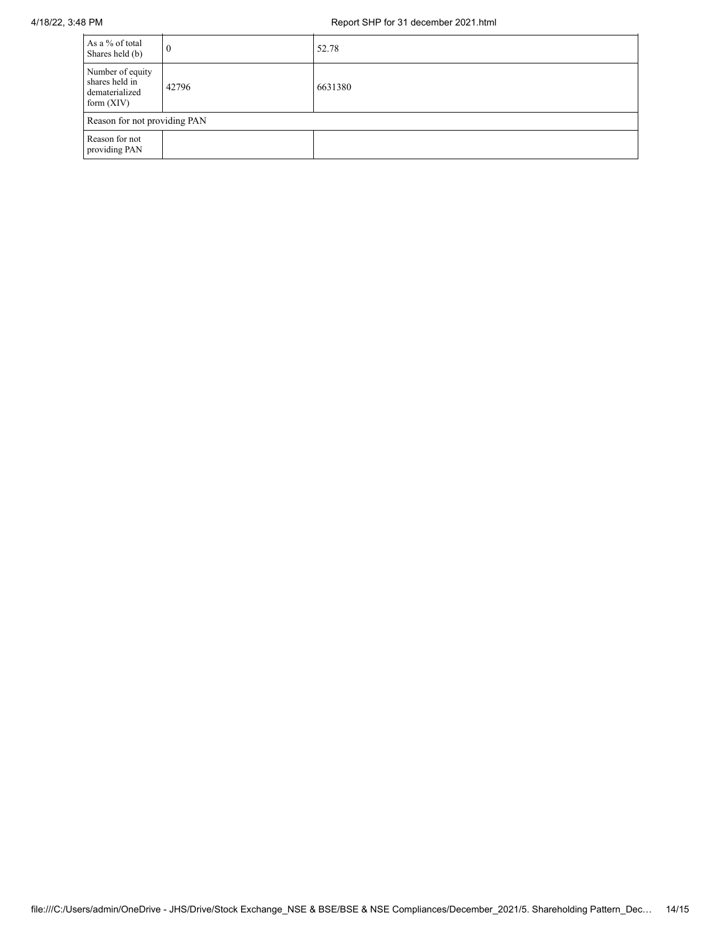| As a % of total<br>Shares held (b)                                   | 0     | 52.78   |  |
|----------------------------------------------------------------------|-------|---------|--|
| Number of equity<br>shares held in<br>dematerialized<br>form $(XIV)$ | 42796 | 6631380 |  |
| Reason for not providing PAN                                         |       |         |  |
| Reason for not<br>providing PAN                                      |       |         |  |